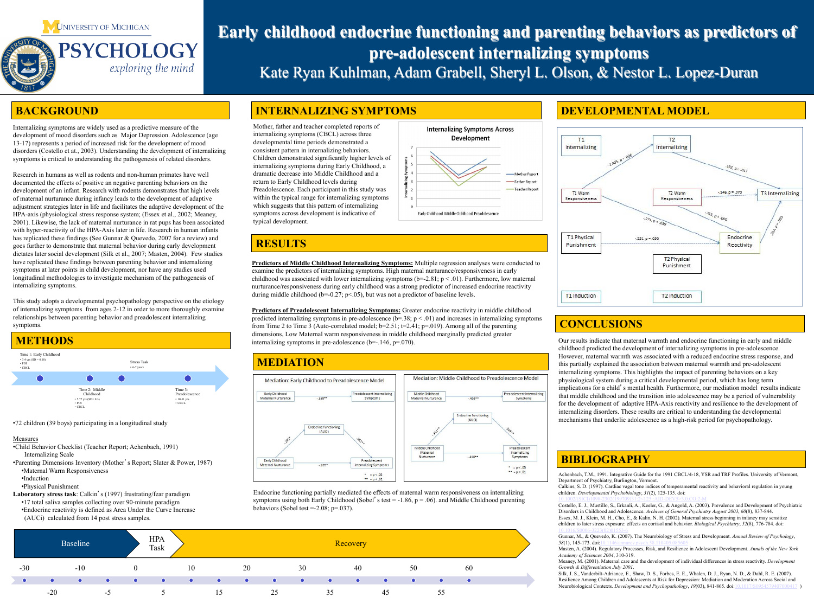# **Early childhood endocrine functioning and parenting behaviors as predictors of pre-adolescent internalizing symptoms**  Kate Ryan Kuhlman, Adam Grabell, Sheryl L. Olson, & Nestor L. Lopez-Duran

•72 children (39 boys) participating in a longitudinal study

### **Measures**

- •Child Behavior Checklist (Teacher Report; Achenbach, 1991) Internalizing Scale
- •Parenting Dimensions Inventory (Mother's Report; Slater & Power, 1987) •Maternal Warm Responsiveness
	- •Induction
- •Physical Punishment

**Laboratory stress task**: Calkin's (1997) frustrating/fear paradigm

- •17 total saliva samples collecting over 90-minute paradigm
- •Endocrine reactivity is defined as Area Under the Curve Increase
- (AUCi) calculated from 14 post stress samples.



### **BACKGROUND**

Internalizing symptoms are widely used as a predictive measure of the development of mood disorders such as Major Depression. Adolescence (age 13-17) represents a period of increased risk for the development of mood disorders (Costello et at., 2003). Understanding the development of internalizing symptoms is critical to understanding the pathogenesis of related disorders.

> **Predictors of Middle Childhood Internalizing Symptoms:** Multiple regression analyses were conducted to examine the predictors of internalizing symptoms. High maternal nurturance/responsiveness in early childhood was associated with lower internalizing symptoms ( $b$ =-2.81;  $p$  < .01). Furthermore, low maternal nurturance/responsiveness during early childhood was a strong predictor of increased endocrine reactivity during middle childhood (b=-0.27;  $p<0.05$ ), but was not a predictor of baseline levels.

> **Predictors of Preadolescent Internalizing Symptoms:** Greater endocrine reactivity in middle childhood predicted internalizing symptoms in pre-adolescence  $(b=.38; p < .01)$  and increases in internalizing symptoms from Time 2 to Time 3 (Auto-correlated model; b=2.51; t=2.41; p=.019). Among all of the parenting dimensions, Low Maternal warm responsiveness in middle childhood marginally predicted greater internalizing symptoms in pre-adolescence  $(b=-.146, p=.070)$ .

Research in humans as well as rodents and non-human primates have well documented the effects of positive an negative parenting behaviors on the development of an infant. Research with rodents demonstrates that high levels of maternal nurturance during infancy leads to the development of adaptive adjustment strategies later in life and facilitates the adaptive development of the HPA-axis (physiological stress response system; (Essex et al., 2002; Meaney, 2001). Likewise, the lack of maternal nurturance in rat pups has been associated with hyper-reactivity of the HPA-Axis later in life. Research in human infants has replicated these findings (See Gunnar & Quevedo, 2007 for a review) and goes further to demonstrate that maternal behavior during early development dictates later social development (Silk et al., 2007; Masten, 2004). Few studies have replicated these findings between parenting behavior and internalizing symptoms at later points in child development, nor have any studies used longitudinal methodologies to investigate mechanism of the pathogenesis of internalizing symptoms.

> Endocrine functioning partially mediated the effects of maternal warm responsiveness on internalizing symptoms using both Early Childhood (Sobel's test = -1.86,  $p = .06$ ). and Middle Childhood parenting behaviors (Sobel test  $=$  -2.08; p=.037).

 $\bullet \bullet = p < .01$ 

This study adopts a developmental psychopathology perspective on the etiology of internalizing symptoms from ages 2-12 in order to more thoroughly examine relationships between parenting behavior and preadolescent internalizing symptoms.

### **INTERNALIZING SYMPTOMS**

### **CONCLUSIONS**

Our results indicate that maternal warmth and endocrine functioning in early and middle childhood predicted the development of internalizing symptoms in pre-adolescence. However, maternal warmth was associated with a reduced endocrine stress response, and this partially explained the association between maternal warmth and pre-adolescent internalizing symptoms. This highlights the impact of parenting behaviors on a key physiological system during a critical developmental period, which has long term implications for a child's mental health. Furthermore, our mediation model results indicate that middle childhood and the transition into adolescence may be a period of vulnerability for the development of adaptive HPA-Axis reactivity and resilience to the development of internalizing disorders. These results are critical to understanding the developmental mechanisms that underlie adolescence as a high-risk period for psychopathology.



### **RESULTS**



Mother, father and teacher completed reports of internalizing symptoms (CBCL) across three developmental time periods demonstrated a consistent pattern in internalizing behaviors. Children demonstrated significantly higher levels of internalizing symptoms during Early Childhood, a dramatic decrease into Middle Childhood and a return to Early Childhood levels during Preadolescence. Each participant in this study was within the typical range for internalizing symptoms which suggests that this pattern of internalizing symptoms across development is indicative of typical development.



## **BIBLIOGRAPHY**



| HPA<br>Task |           |           |           |           |           |           | Recovery  |           |    |
|-------------|-----------|-----------|-----------|-----------|-----------|-----------|-----------|-----------|----|
|             | 10        |           | 20        |           | 30        |           | 40        |           | 50 |
| $\bullet$   | $\bullet$ | $\bullet$ | $\bullet$ | $\bullet$ | $\bullet$ | $\bullet$ | $\bullet$ | $\bullet$ |    |
|             |           | 15        |           | 25        |           | 35        |           | 45        |    |





### **DEVELOPMENTAL MODEL**



Achenbach, T.M., 1991. Integrative Guide for the 1991 CBCL/4-18, YSR and TRF Profiles. University of Vermont, Department of Psychiatry, Burlington, Vermont. Calkins, S. D. (1997). Cardiac vagal tone indices of temperamental reactivity and behavioral regulation in young children. *Developmental Psychobiology*, *31*(2), 125-135. doi: 10.1002/(SICI)1098-2302(199709)31:2<125::AID-DEV5>3.0.CO;2-M Costello, E. J., Mustillo, S., Erkanli, A., Keeler, G., & Angold, A. (2003). Prevalence and Development of Psychiatric Disorders in Childhood and Adolescence. *Archives of General Psychiatry August 2003*, *60*(8), 837-844. Essex, M. J., Klein, M. H., Cho, E., & Kalin, N. H. (2002). Maternal stress beginning in infancy may sensitize children to later stress exposure: effects on cortisol and behavior. *Biological Psychiatry*, *52*(8), 776-784. doi: 10.1016/S0006-3223(02)01553-6 Gunnar, M., & Quevedo, K. (2007). The Neurobiology of Stress and Development. *Annual Review of Psychology*, *58*(1), 145-173. doi:10.1146/annurev.psych.58.110405.085605 Masten, A. (2004). Regulatory Processes, Risk, and Resilience in Adolescent Development. *Annals of the New York Academy of Sciences 2004*, 310-319. Meaney, M. (2001). Maternal care and the development of individual differences in stress reactivity. *Development Growth & Differentiation July 2001*. Silk, J. S., Vanderbilt-Adriance, E., Shaw, D. S., Forbes, E. E., Whalen, D. J., Ryan, N. D., & Dahl, R. E. (2007). Resilience Among Children and Adolescents at Risk for Depression: Mediation and Moderation Across Social and Neurobiological Contexts. *Development and Psychopathology*, *19*(03), 841-865. doi:10.1017/S0954579407000417 )